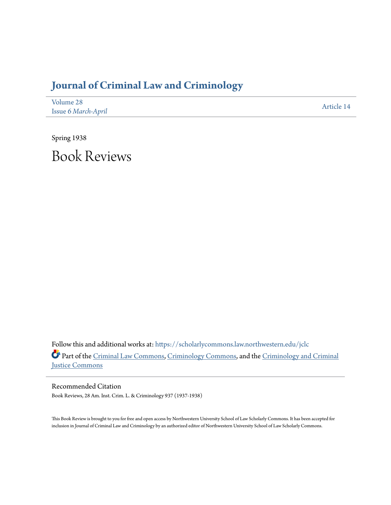## **[Journal of Criminal Law and Criminology](https://scholarlycommons.law.northwestern.edu/jclc?utm_source=scholarlycommons.law.northwestern.edu%2Fjclc%2Fvol28%2Fiss6%2F14&utm_medium=PDF&utm_campaign=PDFCoverPages)**

| Volume 28           | Article 14 |
|---------------------|------------|
| Issue 6 March-April |            |

Spring 1938 Book Reviews

Follow this and additional works at: [https://scholarlycommons.law.northwestern.edu/jclc](https://scholarlycommons.law.northwestern.edu/jclc?utm_source=scholarlycommons.law.northwestern.edu%2Fjclc%2Fvol28%2Fiss6%2F14&utm_medium=PDF&utm_campaign=PDFCoverPages) Part of the [Criminal Law Commons](http://network.bepress.com/hgg/discipline/912?utm_source=scholarlycommons.law.northwestern.edu%2Fjclc%2Fvol28%2Fiss6%2F14&utm_medium=PDF&utm_campaign=PDFCoverPages), [Criminology Commons](http://network.bepress.com/hgg/discipline/417?utm_source=scholarlycommons.law.northwestern.edu%2Fjclc%2Fvol28%2Fiss6%2F14&utm_medium=PDF&utm_campaign=PDFCoverPages), and the [Criminology and Criminal](http://network.bepress.com/hgg/discipline/367?utm_source=scholarlycommons.law.northwestern.edu%2Fjclc%2Fvol28%2Fiss6%2F14&utm_medium=PDF&utm_campaign=PDFCoverPages) [Justice Commons](http://network.bepress.com/hgg/discipline/367?utm_source=scholarlycommons.law.northwestern.edu%2Fjclc%2Fvol28%2Fiss6%2F14&utm_medium=PDF&utm_campaign=PDFCoverPages)

Recommended Citation Book Reviews, 28 Am. Inst. Crim. L. & Criminology 937 (1937-1938)

This Book Review is brought to you for free and open access by Northwestern University School of Law Scholarly Commons. It has been accepted for inclusion in Journal of Criminal Law and Criminology by an authorized editor of Northwestern University School of Law Scholarly Commons.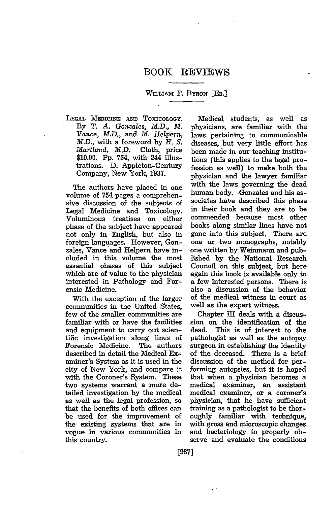## WILLIAM F. BYRON **[ED.]**

**LEGAL** MEDICINE **AND** ToxIcOLOGY. **By** *T. A. Gonzales, M.D., M. Vance, M.D.,* and *M. Helpern,* M.D., with a foreword by *H. S. Martland,* M.D. Cloth, price \$10.00. Pp. 754, with 244 illustrations. D. Appleton-Century Company, New York, 1937.

The authors have placed in one volume of 754 pages a comprehensive discussion of the subjects of Legal Medicine and Toxicology. Voluminous treatises on either phase of the subject have appeared not only in English, but also in foreign languages. However, Gonzales, Vance and Helpern have included in this volume the most essential phases of this subject which are of value to the physician interested in Pathology and Forensic Medicine.

With the exception of the larger communities in the United States, few of the smaller communities are familiar with or have the facilities and equipment to carry out scientific investigation along lines of Forensic Medicine. The authors described in detail the Medical Examiner's System as it is used in the city of New York, and compare it with the Coroner's System. These two systems warrant a more detailed investigation by the medical as well as the legal profession, so that the benefits of both offices can be used for the improvement of the existing systems that are in vogue in various communities in this country.

Medical students, as well as physicians, are familiar with the laws pertaining to communicable diseases, but very little effort has been made in our teaching institutions (this applies to the legal profession as well) to make both the physician and the lawyer familiar with the laws governing the dead human body. Gonzales and his associates have described this phase in their book and they are to be commended because most other books along similar lines have not gone into this subject. There are one or two monographs, notably one written by Weinmann and published by the National Research Council on this subject, but here again this book is available only to a few interested persons. There is also a discussion of the behavior of the medical witness in court as well as the expert witness.

Chapter III deals with a discussion on the identification of the dead. This is of interest to the pathologist as well as the autopsy surgeon in establishing the identity of the deceased. There is a brief discussion of the method for performing autopsies, but it is hoped that when a physician becomes a medical examiner, an assistant medical examiner, or a coroner's physician, that he have sufficient training as a pathologist to be thoroughly familiar with technique, with gross and microscopic changes and bacteriology to properly observe and evaluate the conditions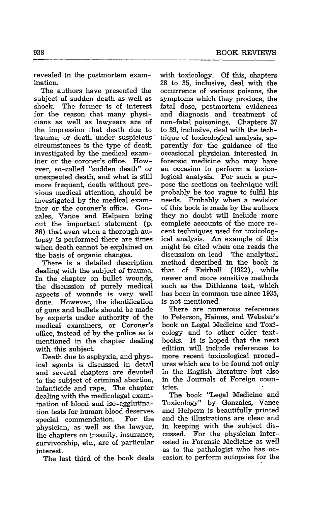revealed in the postmortem examination.

The authors have presented the subject of sudden death as well as shock. The former is of interest for the reason that many physicians as well as lawyears are of the impression that death due to trauma, or death under suspicious\* circumstances is the type of death investigated by the medical examiner or the coroner's office. However, so-called "sudden death" or unexpected death, and what is still more frequent, death without previous medical attention, should be investigated by the medical examiner or the coroner's office. Gonzales, Vance and Helpern bring out the important statement (p. 86) that even when a thorough autopsy is performed there are times when death cannot be explained on the basis of organic changes.

There is a detailed description dealing with the subject of trauma. In the chapter on bullet wounds, the discussion of purely medical aspects of wounds is very well done. However, the identification of guns and bullets should be made by experts under authority of the medical examiners, or Coroner's office, instead of by the police as is mentioned in the chapter dealing with this subject.

Death due to asphyxia, and physical agents is discussed in detail and several chapters are devoted to the subject of criminal abortion, infanticide and rape. The chapter dealing with the medicolegal examination of blood and iso-agglutination tests for human blood deserves special commendation. For the physician, as well as the lawyer, the chapters on insanity, insurance, survivorship, etc., are of particular interest.

The last third of the book deals

with toxicology. Of this, chapters 28 to **35,** inclusive, deal with the occurrence of various poisons, the symptoms which they produce, the fatal dose, postmortem evidences and diagnosis and treatment of non-fatal poisonings. Chapters 37 to 39, inclusive, deal with the technique of toxicological analysis, apparently for the guidance of the occasional physician interested in forensic medicine who may have an occasion to perform a toxicological analysis. For such a purpose the sections on technique will probably be too vague to fulfil his needs. Probably when a revision of this book is made by the authors they no doubt will include more complete accounts of the more recent techniques used for toxicological analysis. An example of this might be cited when one reads the discussion on lead The analytical method described in the book is that of Fairhall (1922), while newer and more sensitive methods such as the Dithizone test, which has been in common use since 1935, is not mentioned.

There are numerous references to Peterson, Haines, and Webster's book on Legal Medicine and Toxicology and to other older textbooks. It is hoped that the next edition will include references to more recent toxicological procedures which are to be found not only in the English literature but also in the Journals of Foreign countries.

The book "Legal Medicine and Toxicology" by Gonzales, Vance and Helpern is beautifully printed and the illustrations are clear and in keeping with the subject discussed. For the physician interested in Forensic Medicine as well as to the pathologist who has occasion to perform autopsies for the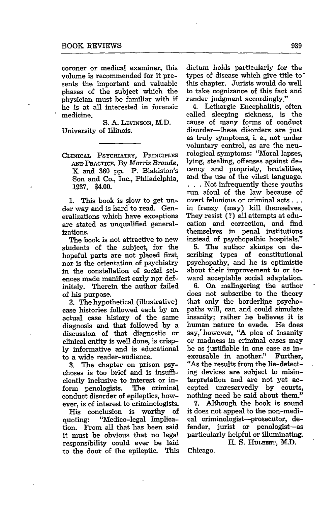coroner or medical examiner, this volume is recommended for it presents the important and valuable phases of the subject which the physician must be familiar with if he is at all interested in forensic medicine.

**S. A. LEVINSON,** M.D. University of Illinois.

CLINICAL PSYCHIATRY, PRINCIPLES **AND PRACTICE.** By *Morris Braude,* X and 360 pp. P. Blakiston's Son and Co., Inc., Philadelphia, 1937. \$4.00.

1. This book is slow to get under way and is hard to read. Generalizations which have exceptions are stated as unqualified generalizations.

The book is not attractive to new students of the subject, for the hopeful parts are not placed first, nor is the orientation of psychiatry in the constellation of social sciences made manifest early nor definitely. Therein the author failed **of his purpose.**

2. The hypothetical (illustrative) case histories followed each by an actual case history of the same diagnosis and that followed by a discussion of that diagnostic or clinical entity is well done, is crisply informative and is educational to a wide reader-audience.

3. The chapter on prison psychoses is too brief and is insufficiently inclusive to interest or inform penologists. The criminal conduct disorder of epileptics, however, is of interest to criminologists.

His conclusion is worthy of quoting: "Medico-legal Implication. From all that has been said it must be obvious that no legal responsibility could ever be laid to the door of the epileptic. This

dictum holds particularly for the types of disease which give title **to\*** this chapter. Jurists would do well to take cognizance of this fact and render judgment accordingly."

4. Lethargic Encephalitis, often called sleeping sickness, is the cause of many forms of conduct disorder-these disorders are just as truly symptoms, i. e., not under voluntary control, as are the neurological symptoms: "Moral lapses, lying, stealing, offenses against decency and propriety, brutalities, and the use of the vilest language. **, , \*** Not infrequently these youths run afoul of the law because of overt felonious or criminal acts... in frenzy (may) kill themselves. They resist **(?)** all attempts at education and correction, and find themselves jn penal institutions instead of psychopathic hospitals."

5. The author skimps on describing types of constitutional psychopathy, and he is optimistic about their improvement to or toward acceptable social adaptation.

6. On malingering the author does not subscribe to the theory that only the borderline psychopaths will, can and could simulate insanity; rather he believes it is human nature to evade. He does say, however, **"A** plea of insanity or madness in criminal cases may be as justifiable in one case as inexcusable in another." Further, "As the results from the lie-detecting devices are subject to misinterpretation and are not yet accepted unreservedly by courts, nothing need be said about them."

**7.** Although the book is sound it does not appeal to the non-medical criminologist-prosecutor, defender, jurist or penologist-as particularly helpful or illuminating. H. **S. HULBERT,** M.D.

Chicago.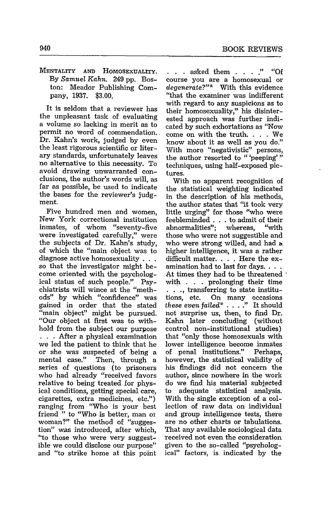MENTALITY **AND** HOMOSEXUALITY. By *Samuel Kahn.* 249 pp. Boston: Meador Publishing Company, 1937. \$3.00.

It is seldom that a reviewer has the unpleasant task of evaluating a volume so lacking in merit as to permit no word of commendation.. Dr. Kahn's work, judged by even the least rigorous scientific or literary standards, unfortunately leaves no alternative to this necessity. To avoid drawing unwarranted conclusions, the author's words will, as far as possible, be used to indicate the bases for the reviewer's judgment.

Five hundred men and women, New York correctional institution inmates, of whom "seventy-five were investigated carefully," were the subjects of Dr. Kahn's study, of which the "main object was to diagnose active homosexuality **. . .** so that the investigator might become oriented with the psychological status of such people." Psychiatrists will wince at the "methods" by which "confidence" was gained in order that the stated "main object" might be pursued. "Our object at first was to withhold from the subject our purpose **. . .** After a physical examination we led the patient to think that he or she was suspected of being a mental case." Then, through a series of questions (to prisoners who had already "received favors relative to being treated for physical conditions, getting special care, cigarettes, extra medicines, etc.") ranging from "Who is your best friend " to "Who is better, man or woman?" the method of "suggestion" was introduced, after which, "to those who were very suggestible we could disclose our purpose" and "to strike home at this point

**. . .** asked them . **. . ." "Of** course you are a homosexual or *degenerate?"* With this evidence "that the examiner was indifferent with regard to any suspicions as to their homosexuality," his disinterested approach was further indicated by such exhortations as "Now come on with the truth. . **.** . We know about it as well as you do." With more "negativistic" persons, the author resorted to "'peeping'" techniques, using half-exposed pictures.

With no apparent recognition of the statistical weighting indicated in the description of his methods, the author states that "it took very little urging" for those "who were feebleminded . . . to admit of their abnormalities"; whereas, "with those who were not suggestible and who were strong willed, and had a higher intelligence, it was a rather difficult matter. . . . Here the examination had to last for days.  $\ldots$ At times they had to be threatened  $\cdot$ with . . . prolonging their time  $\ldots$ , transferring to state institutions, etc. On many occasions *these even* failed\* . **. . ."** It should not surprise us, then, to find Dr. Kahn later concluding (without control non-institutional studies) that "only those homosexuals with lower intelligence become inmates of penal institutions." Perhaps, however, the statistical validity of his findings did not concern the author, since nowhere in the work do we find his material subjected to adequate statistical analysis. With the single exception of a collection of raw data on individual and group intelligence tests, there are no other charts or tabulations. That any available sociological data received not even the consideration given to the so-called "psychological" factors, is indicated by the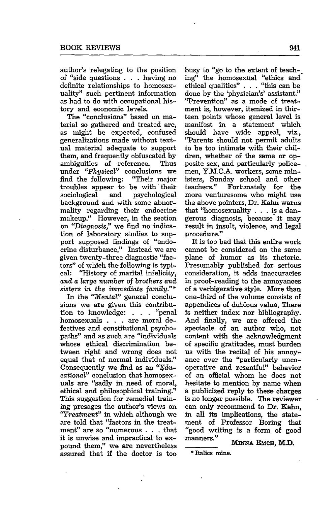author's relegating to the position of "side questions . . . having no definite relationships to homosexuality" such pertinent information as had to do with occupational history and economic levels.

The "conclusions" based on material so gathered and treated are, as might be expected, confused generalizations made without textual material adequate to support them, and frequently obfuscated by ambiguities of reference. Thus under *"Physical"* conclusions we find the following: troubles appear to be with their sociological and psychological background and with some abnormality regarding their endocrine makeup." However, in the section on *"Diagnosis,"* we find no indication of laboratory studies to support supposed findings of "endocrine disturbance." Instead we are given twenty-three diagnostic "factors" of which the following is typical: "History of marital infelicity, *and a large number of brothers and sisters in the immediate family.'*

In the *"Mental"* general conclusions we are given this contribution to knowledge: . . . "penal homosexuals . . . are moral defectives and constitutional psychopaths" and as such are "individuals whose ethical discrimination between right and wrong does not equal that of normal individuals." Consequently we find as an *"Educational"* conclusion that homosexuals are "sadly in need of moral, ethical and philosophical training." This suggestion for remedial training presages the author's views on *"Treatment"* in which although we are told that "factors. in the treatment" are so "numerous **. . .** that it is unwise and impractical to expound them," we are nevertheless assured that if the doctor is too busy to "go to the extent of teaching" the homosexual "ethics and ethical qualities" . . . "this can be done by the 'physician's' assistant." "Prevention" as a mode of treatment is, however, itemized in thirteen points whose general level is manifest in a statement which should have wide appeal, viz., "Parents should not permit adults to be too intimate with their children, whether of the same or opposite sex, and particularly policemen, Y.M.C.A. workers, some ministers, Sunday school and other teachers." Fortunately for the more venturesome who might use the above pointers, Dr. Kahn warns that "homosexuality . . . is a dangerous diagnosis, because' it may result in insult, violence, and legal procedure."

It is too bad that this entire work cannot be considered on the same plane of humor as its rhetoric. Presumably published for serious consideration, it adds inaccuracies in proof-reading to the annoyances of a verbigerative style. More than one-third of the volume consists of appendices of dubious value. There is neither index nor bibliography. And finally, we are offered the spectacle of an author who, not content with the acknowledgment of specific gratitudes, must burden us with the recital of his annoyance over the "particularly uncooperative and resentful" behavior of an official whom he does not hesitate to mention by name when a publicized reply to these charges is no longer possible. The reviewer can only recommend to Dr. Kahn, in all its implications, the statement of Professor Boring that "good writing is a form of good manners." **MINNA EMCH, M.D.** 

Italics mine.